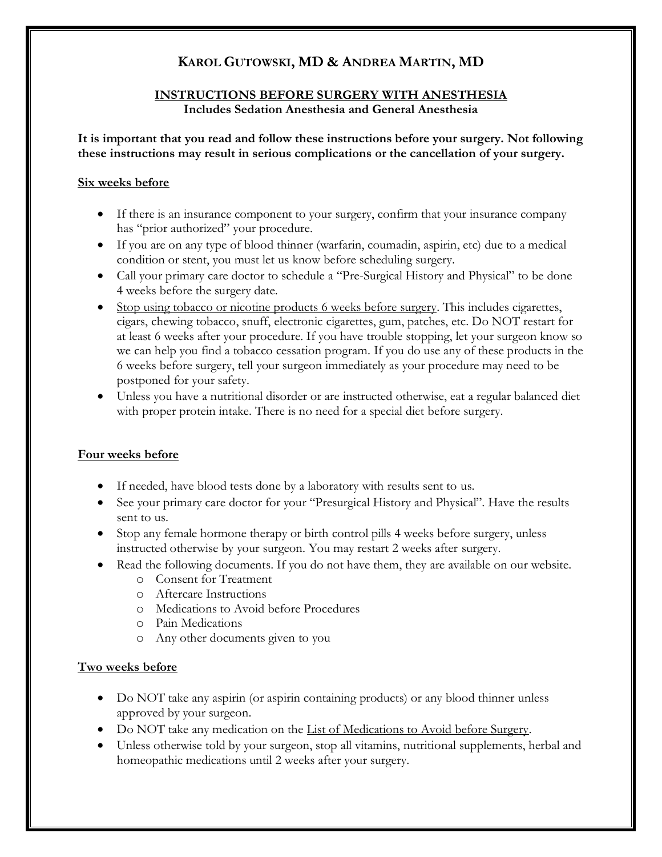# **KAROL GUTOWSKI, MD & ANDREA MARTIN, MD**

#### **INSTRUCTIONS BEFORE SURGERY WITH ANESTHESIA Includes Sedation Anesthesia and General Anesthesia**

#### **It is important that you read and follow these instructions before your surgery. Not following these instructions may result in serious complications or the cancellation of your surgery.**

#### **Six weeks before**

- If there is an insurance component to your surgery, confirm that your insurance company has "prior authorized" your procedure.
- If you are on any type of blood thinner (warfarin, coumadin, aspirin, etc) due to a medical condition or stent, you must let us know before scheduling surgery.
- Call your primary care doctor to schedule a "Pre-Surgical History and Physical" to be done 4 weeks before the surgery date.
- Stop using tobacco or nicotine products 6 weeks before surgery. This includes cigarettes, cigars, chewing tobacco, snuff, electronic cigarettes, gum, patches, etc. Do NOT restart for at least 6 weeks after your procedure. If you have trouble stopping, let your surgeon know so we can help you find a tobacco cessation program. If you do use any of these products in the 6 weeks before surgery, tell your surgeon immediately as your procedure may need to be postponed for your safety.
- Unless you have a nutritional disorder or are instructed otherwise, eat a regular balanced diet with proper protein intake. There is no need for a special diet before surgery.

#### **Four weeks before**

- If needed, have blood tests done by a laboratory with results sent to us.
- See your primary care doctor for your "Presurgical History and Physical". Have the results sent to us.
- Stop any female hormone therapy or birth control pills 4 weeks before surgery, unless instructed otherwise by your surgeon. You may restart 2 weeks after surgery.
- Read the following documents. If you do not have them, they are available on our website.
	- o Consent for Treatment
	- o Aftercare Instructions
	- o Medications to Avoid before Procedures
	- o Pain Medications
	- o Any other documents given to you

## **Two weeks before**

- Do NOT take any aspirin (or aspirin containing products) or any blood thinner unless approved by your surgeon.
- Do NOT take any medication on the List of Medications to Avoid before Surgery.
- Unless otherwise told by your surgeon, stop all vitamins, nutritional supplements, herbal and homeopathic medications until 2 weeks after your surgery.